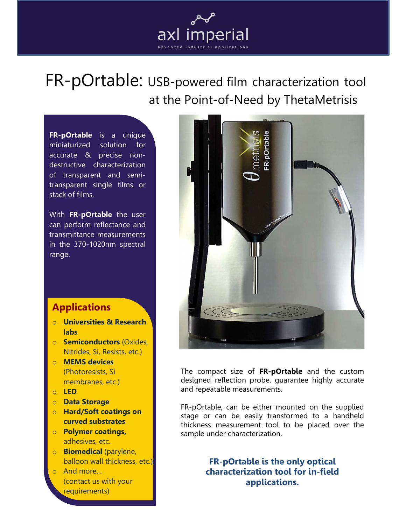

FR-pOrtable: USB-powered film characterization tool at the Point-of-Need by ThetaMetrisis

FR-pOrtable is a unique miniaturized solution for accurate & precise nondestructive characterization of transparent and semitransparent single films or stack of films.

With FR-pOrtable the user can perform reflectance and transmittance measurements in the 370-1020nm spectral range.

# **Applications**

- o Universities & Research labs
- o Semiconductors (Oxides, Nitrides, Si, Resists, etc.)
- o MEMS devices (Photoresists, Si membranes, etc.)
- o LED
- o Data Storage
- o Hard/Soft coatings on curved substrates
- o Polymer coatings, adhesives, etc.
- o Biomedical (parylene, balloon wall thickness, etc.)
- o And more… (contact us with your requirements)



The compact size of FR-pOrtable and the custom designed reflection probe, guarantee highly accurate and repeatable measurements.

FR-pOrtable, can be either mounted on the supplied stage or can be easily transformed to a handheld thickness measurement tool to be placed over the sample under characterization.

> FR-pOrtable is the only optical characterization tool for in-field applications.